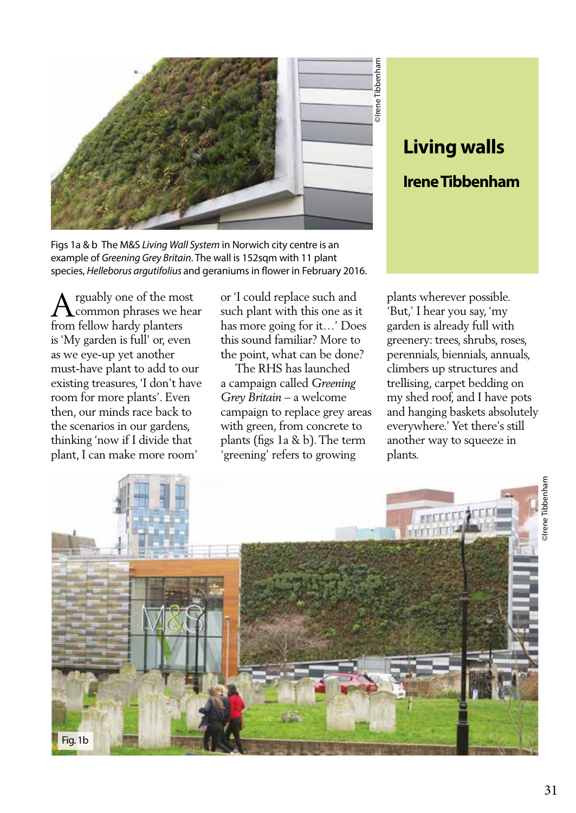

# **Living walls Irene Tibbenham**

Figs 1a & b The M&S *Living Wall System* in Norwich city centre is an example of *Greening Grey Britain*. The wall is 152sqm with 11 plant species, *Helleborus argutifolius* and geraniums in flower in February 2016.

 $\bigwedge$ rguably one of the mos<br>from fellow hardy planters rguably one of the most common phrases we hear is 'My garden is full' or, even as we eye-up yet another must-have plant to add to our existing treasures, 'I don't have room for more plants'. Even then, our minds race back to the scenarios in our gardens, thinking 'now if I divide that plant, I can make more room'

or 'I could replace such and such plant with this one as it has more going for it…' Does this sound familiar? More to the point, what can be done?

 The RHS has launched a campaign called *Greening Grey Britain* – a welcome campaign to replace grey areas with green, from concrete to plants (figs 1a & b). The term 'greening' refers to growing

plants wherever possible. 'But,' I hear you say, 'my garden is already full with greenery: trees, shrubs, roses, perennials, biennials, annuals, climbers up structures and trellising, carpet bedding on my shed roof, and I have pots and hanging baskets absolutely everywhere.' Yet there's still another way to squeeze in plants.

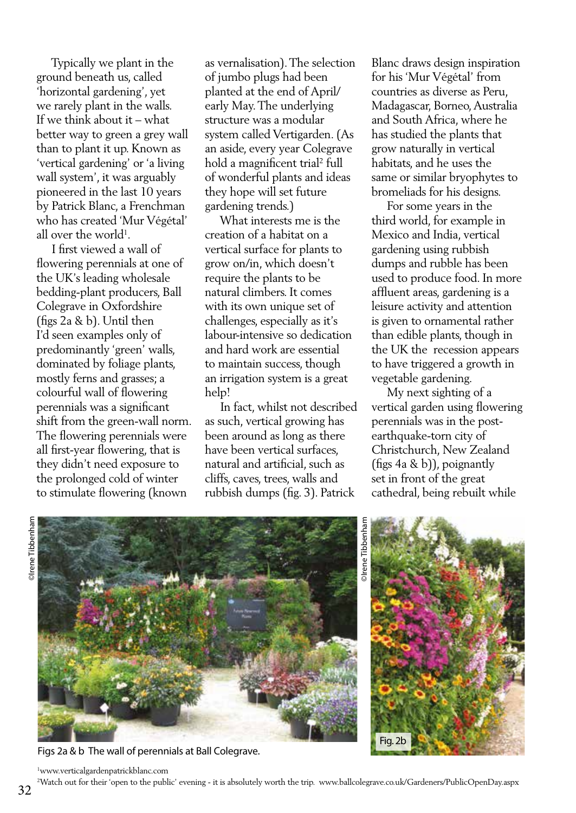Typically we plant in the ground beneath us, called 'horizontal gardening', yet we rarely plant in the walls. If we think about it – what better way to green a grey wall than to plant it up. Known as 'vertical gardening' or 'a living wall system', it was arguably pioneered in the last 10 years by Patrick Blanc, a Frenchman who has created 'Mur Végétal' all over the world<sup>1</sup>.

 I first viewed a wall of flowering perennials at one of the UK's leading wholesale bedding-plant producers, Ball Colegrave in Oxfordshire (figs 2a & b). Until then I'd seen examples only of predominantly 'green' walls, dominated by foliage plants, mostly ferns and grasses; a colourful wall of flowering perennials was a significant shift from the green-wall norm. The flowering perennials were all first-year flowering, that is they didn't need exposure to the prolonged cold of winter to stimulate flowering (known

as vernalisation). The selection of jumbo plugs had been planted at the end of April/ early May. The underlying structure was a modular system called Vertigarden. (As an aside, every year Colegrave hold a magnificent trial<sup>2</sup> full of wonderful plants and ideas they hope will set future gardening trends.)

 What interests me is the creation of a habitat on a vertical surface for plants to grow on/in, which doesn't require the plants to be natural climbers. It comes with its own unique set of challenges, especially as it's labour-intensive so dedication and hard work are essential to maintain success, though an irrigation system is a great help!

 In fact, whilst not described as such, vertical growing has been around as long as there have been vertical surfaces, natural and artificial, such as cliffs, caves, trees, walls and rubbish dumps (fig. 3). Patrick

Blanc draws design inspiration for his 'Mur Végétal' from countries as diverse as Peru, Madagascar, Borneo, Australia and South Africa, where he has studied the plants that grow naturally in vertical habitats, and he uses the same or similar bryophytes to bromeliads for his designs.

 For some years in the third world, for example in Mexico and India, vertical gardening using rubbish dumps and rubble has been used to produce food. In more affluent areas, gardening is a leisure activity and attention is given to ornamental rather than edible plants, though in the UK the recession appears to have triggered a growth in vegetable gardening.

 My next sighting of a vertical garden using flowering perennials was in the postearthquake-torn city of Christchurch, New Zealand (figs 4a & b)), poignantly set in front of the great cathedral, being rebuilt while



Figs 2a & b The wall of perennials at Ball Colegrave.

©Irene Tibbenham **Direne** Tibbenha



1 www.verticalgardenpatrickblanc.com

2 Watch out for their 'open to the public' evening - it is absolutely worth the trip. www.ballcolegrave.co.uk/Gardeners/PublicOpenDay.aspx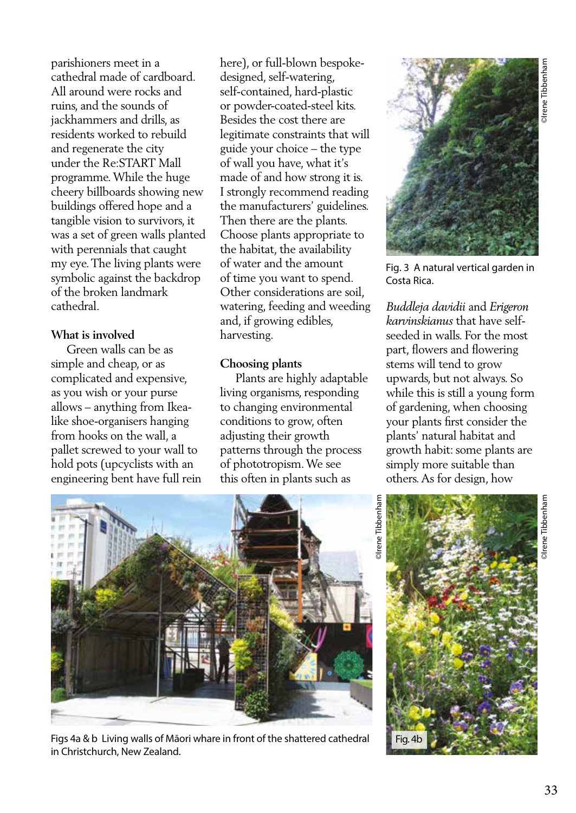parishioners meet in a cathedral made of cardboard. All around were rocks and ruins, and the sounds of jackhammers and drills, as residents worked to rebuild and regenerate the city under the Re:START Mall programme. While the huge cheery billboards showing new buildings offered hope and a tangible vision to survivors, it was a set of green walls planted with perennials that caught my eye. The living plants were symbolic against the backdrop of the broken landmark cathedral.

# **What is involved**

 Green walls can be as simple and cheap, or as complicated and expensive, as you wish or your purse allows – anything from Ikealike shoe-organisers hanging from hooks on the wall, a pallet screwed to your wall to hold pots (upcyclists with an engineering bent have full rein here), or full-blown bespokedesigned, self-watering, self-contained, hard-plastic or powder-coated-steel kits. Besides the cost there are legitimate constraints that will guide your choice – the type of wall you have, what it's made of and how strong it is. I strongly recommend reading the manufacturers' guidelines. Then there are the plants. Choose plants appropriate to the habitat, the availability of water and the amount of time you want to spend. Other considerations are soil, watering, feeding and weeding and, if growing edibles, harvesting.

# **Choosing plants**

 Plants are highly adaptable living organisms, responding to changing environmental conditions to grow, often adjusting their growth patterns through the process of phototropism. We see this often in plants such as



Fig. 3 A natural vertical garden in Costa Rica.

*Buddleja davidii* and *Erigeron karvinskianus* that have selfseeded in walls. For the most part, flowers and flowering stems will tend to grow upwards, but not always. So while this is still a young form of gardening, when choosing your plants first consider the plants' natural habitat and growth habit: some plants are simply more suitable than others. As for design, how



Figs 4a & b Living walls of Māori whare in front of the shattered cathedral in Christchurch, New Zealand.

Fig. 4b

**Direne** Tibbenham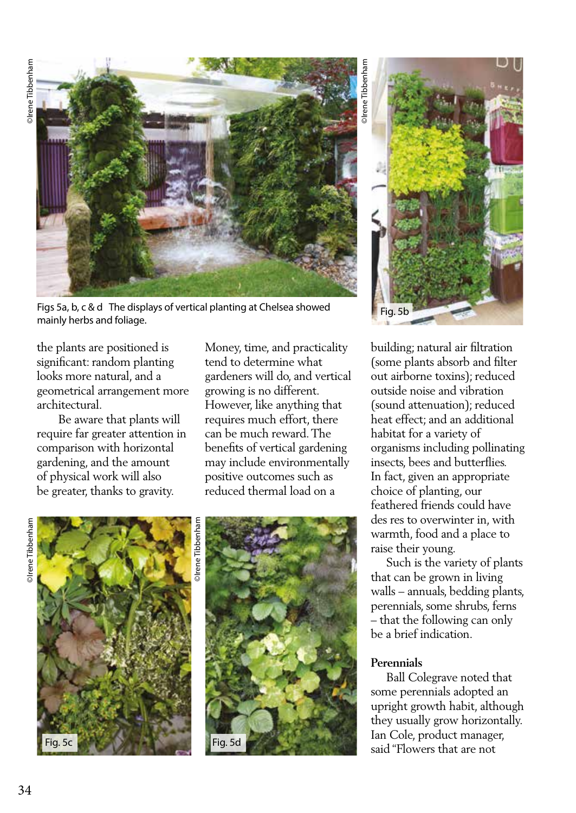

Figs 5a, b, c & d The displays of vertical planting at Chelsea showed Fig. 5b<br>mainly herbs and foliage.

the plants are positioned is significant: random planting looks more natural, and a geometrical arrangement more architectural.

 Be aware that plants will require far greater attention in comparison with horizontal gardening, and the amount of physical work will also be greater, thanks to gravity.

Money, time, and practicality tend to determine what gardeners will do, and vertical growing is no different. However, like anything that requires much effort, there can be much reward. The benefits of vertical gardening may include environmentally positive outcomes such as reduced thermal load on a

# **Direne** Tibbenham ©Irene Tibbenham





©Irene Tibbenham **Irene** Tibbenhar



building; natural air filtration (some plants absorb and filter out airborne toxins); reduced outside noise and vibration (sound attenuation); reduced heat effect; and an additional habitat for a variety of organisms including pollinating insects, bees and butterflies. In fact, given an appropriate choice of planting, our feathered friends could have des res to overwinter in, with warmth, food and a place to raise their young.

 Such is the variety of plants that can be grown in living walls – annuals, bedding plants, perennials, some shrubs, ferns – that the following can only be a brief indication.

#### **Perennials**

 Ball Colegrave noted that some perennials adopted an upright growth habit, although they usually grow horizontally. Ian Cole, product manager, said "Flowers that are not